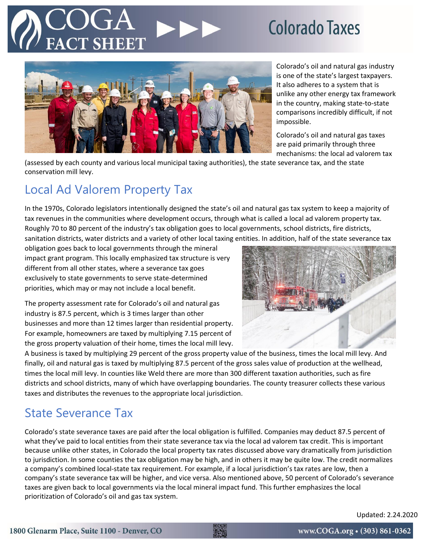## **Colorado Taxes**



Colorado's oil and natural gas industry is one of the state's largest taxpayers. It also adheres to a system that is unlike any other energy tax framework in the country, making state-to-state comparisons incredibly difficult, if not impossible.

Colorado's oil and natural gas taxes are paid primarily through three mechanisms: the local ad valorem tax

(assessed by each county and various local municipal taxing authorities), the state severance tax, and the state conservation mill levy.

### Local Ad Valorem Property Tax

In the 1970s, Colorado legislators intentionally designed the state's oil and natural gas tax system to keep a majority of tax revenues in the communities where development occurs, through what is called a local ad valorem property tax. Roughly 70 to 80 percent of the industry's tax obligation goes to local governments, school districts, fire districts, sanitation districts, water districts and a variety of other local taxing entities. In addition, half of the state severance tax

obligation goes back to local governments through the mineral impact grant program. This locally emphasized tax structure is very different from all other states, where a severance tax goes exclusively to state governments to serve state-determined priorities, which may or may not include a local benefit.

The property assessment rate for Colorado's oil and natural gas industry is 87.5 percent, which is 3 times larger than other businesses and more than 12 times larger than residential property. For example, homeowners are taxed by multiplying 7.15 percent of the gross property valuation of their home, times the local mill levy.



A business is taxed by multiplying 29 percent of the gross property value of the business, times the local mill levy. And finally, oil and natural gas is taxed by multiplying 87.5 percent of the gross sales value of production at the wellhead, times the local mill levy. In counties like Weld there are more than 300 different taxation authorities, such as fire districts and school districts, many of which have overlapping boundaries. The county treasurer collects these various taxes and distributes the revenues to the appropriate local jurisdiction.

### State Severance Tax

Colorado's state severance taxes are paid after the local obligation is fulfilled. Companies may deduct 87.5 percent of what they've paid to local entities from their state severance tax via the local ad valorem tax credit. This is important because unlike other states, in Colorado the local property tax rates discussed above vary dramatically from jurisdiction to jurisdiction. In some counties the tax obligation may be high, and in others it may be quite low. The credit normalizes a company's combined local-state tax requirement. For example, if a local jurisdiction's tax rates are low, then a company's state severance tax will be higher, and vice versa. Also mentioned above, 50 percent of Colorado's severance taxes are given back to local governments via the local mineral impact fund. This further emphasizes the local prioritization of Colorado's oil and gas tax system.

Updated: 2.24.2020